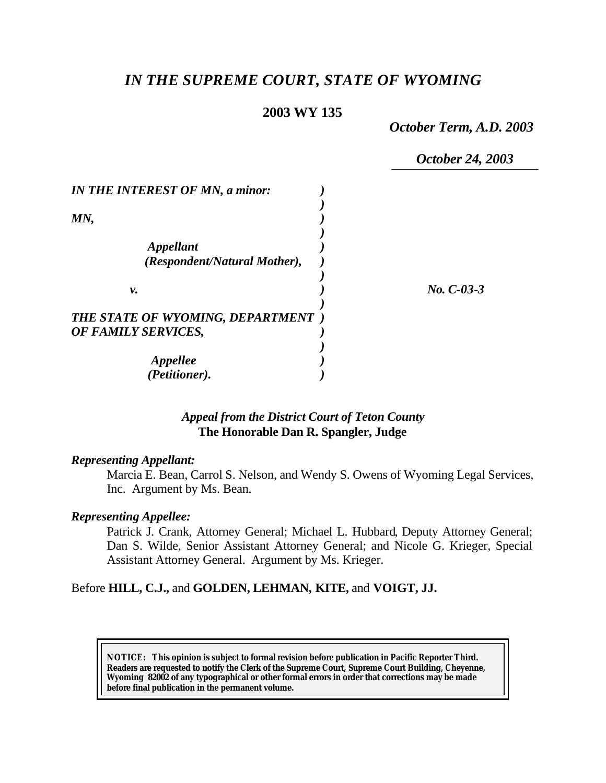# *IN THE SUPREME COURT, STATE OF WYOMING*

## **2003 WY 135**

*October Term, A.D. 2003*

*October 24, 2003*

| <b>IN THE INTEREST OF MN, a minor:</b>  |              |
|-----------------------------------------|--------------|
|                                         |              |
| MN,                                     |              |
|                                         |              |
| <i><b>Appellant</b></i>                 |              |
| (Respondent/Natural Mother),            |              |
|                                         |              |
| ν.                                      | $No. C-03-3$ |
|                                         |              |
| <b>THE STATE OF WYOMING, DEPARTMENT</b> |              |
| OF FAMILY SERVICES,                     |              |
|                                         |              |
| <i><b>Appellee</b></i>                  |              |
| (Petitioner).                           |              |

## *Appeal from the District Court of Teton County* **The Honorable Dan R. Spangler, Judge**

#### *Representing Appellant:*

Marcia E. Bean, Carrol S. Nelson, and Wendy S. Owens of Wyoming Legal Services, Inc. Argument by Ms. Bean.

### *Representing Appellee:*

Patrick J. Crank, Attorney General; Michael L. Hubbard, Deputy Attorney General; Dan S. Wilde, Senior Assistant Attorney General; and Nicole G. Krieger, Special Assistant Attorney General. Argument by Ms. Krieger.

### Before **HILL, C.J.,** and **GOLDEN, LEHMAN, KITE,** and **VOIGT, JJ.**

**NOTICE:** *This opinion is subject to formal revision before publication in Pacific Reporter Third. Readers are requested to notify the Clerk of the Supreme Court, Supreme Court Building, Cheyenne, Wyoming 82002 of any typographical or other formal errors in order that corrections may be made before final publication in the permanent volume.*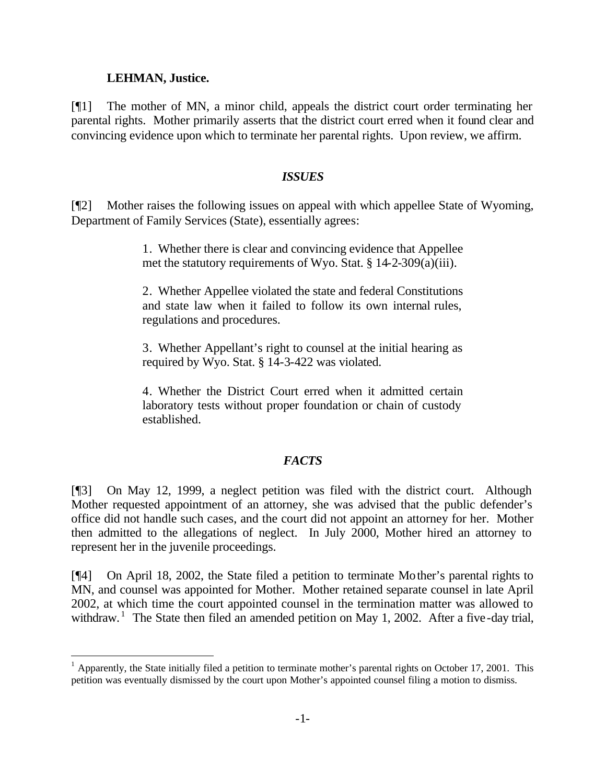### **LEHMAN, Justice.**

l

[¶1] The mother of MN, a minor child, appeals the district court order terminating her parental rights. Mother primarily asserts that the district court erred when it found clear and convincing evidence upon which to terminate her parental rights. Upon review, we affirm.

### *ISSUES*

[¶2] Mother raises the following issues on appeal with which appellee State of Wyoming, Department of Family Services (State), essentially agrees:

> 1. Whether there is clear and convincing evidence that Appellee met the statutory requirements of Wyo. Stat. § 14-2-309(a)(iii).

> 2. Whether Appellee violated the state and federal Constitutions and state law when it failed to follow its own internal rules, regulations and procedures.

> 3. Whether Appellant's right to counsel at the initial hearing as required by Wyo. Stat. § 14-3-422 was violated.

> 4. Whether the District Court erred when it admitted certain laboratory tests without proper foundation or chain of custody established.

# *FACTS*

[¶3] On May 12, 1999, a neglect petition was filed with the district court. Although Mother requested appointment of an attorney, she was advised that the public defender's office did not handle such cases, and the court did not appoint an attorney for her. Mother then admitted to the allegations of neglect. In July 2000, Mother hired an attorney to represent her in the juvenile proceedings.

[¶4] On April 18, 2002, the State filed a petition to terminate Mother's parental rights to MN, and counsel was appointed for Mother. Mother retained separate counsel in late April 2002, at which time the court appointed counsel in the termination matter was allowed to withdraw.<sup>1</sup> The State then filed an amended petition on May 1, 2002. After a five-day trial,

<sup>1</sup> Apparently, the State initially filed a petition to terminate mother's parental rights on October 17, 2001. This petition was eventually dismissed by the court upon Mother's appointed counsel filing a motion to dismiss.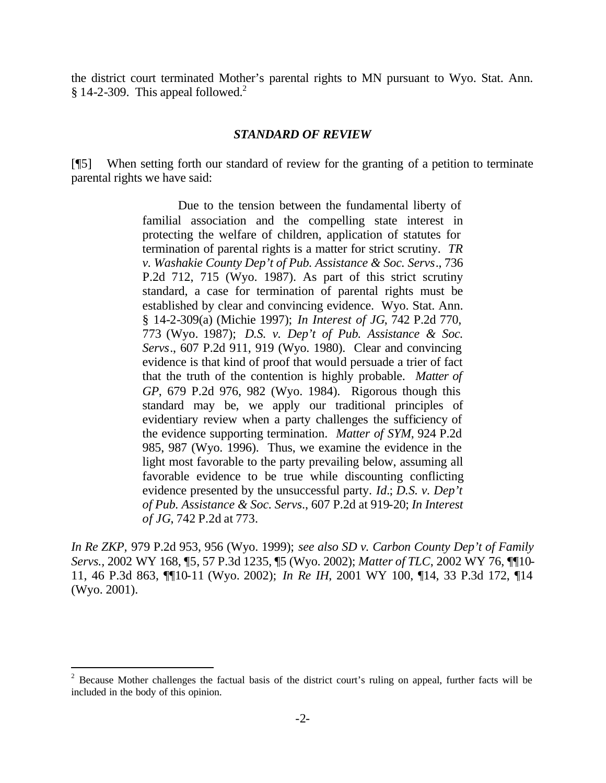the district court terminated Mother's parental rights to MN pursuant to Wyo. Stat. Ann. § 14-2-309. This appeal followed. $<sup>2</sup>$ </sup>

### *STANDARD OF REVIEW*

[¶5] When setting forth our standard of review for the granting of a petition to terminate parental rights we have said:

> Due to the tension between the fundamental liberty of familial association and the compelling state interest in protecting the welfare of children, application of statutes for termination of parental rights is a matter for strict scrutiny. *TR v. Washakie County Dep't of Pub. Assistance & Soc. Servs*., 736 P.2d 712, 715 (Wyo. 1987). As part of this strict scrutiny standard, a case for termination of parental rights must be established by clear and convincing evidence. Wyo. Stat. Ann. § 14-2-309(a) (Michie 1997); *In Interest of JG*, 742 P.2d 770, 773 (Wyo. 1987); *D.S. v. Dep't of Pub. Assistance & Soc. Servs*., 607 P.2d 911, 919 (Wyo. 1980). Clear and convincing evidence is that kind of proof that would persuade a trier of fact that the truth of the contention is highly probable. *Matter of GP*, 679 P.2d 976, 982 (Wyo. 1984). Rigorous though this standard may be, we apply our traditional principles of evidentiary review when a party challenges the sufficiency of the evidence supporting termination. *Matter of SYM*, 924 P.2d 985, 987 (Wyo. 1996). Thus, we examine the evidence in the light most favorable to the party prevailing below, assuming all favorable evidence to be true while discounting conflicting evidence presented by the unsuccessful party. *Id.*; *D.S. v. Dep't of Pub. Assistance & Soc. Servs*., 607 P.2d at 919-20; *In Interest of JG*, 742 P.2d at 773.

*In Re ZKP,* 979 P.2d 953, 956 (Wyo. 1999); *see also SD v. Carbon County Dep't of Family Servs.,* 2002 WY 168, ¶5, 57 P.3d 1235, ¶5 (Wyo. 2002); *Matter of TLC*, 2002 WY 76, ¶¶10- 11, 46 P.3d 863, ¶¶10-11 (Wyo. 2002); *In Re IH*, 2001 WY 100, ¶14, 33 P.3d 172, ¶14 (Wyo. 2001).

l

 $2^2$  Because Mother challenges the factual basis of the district court's ruling on appeal, further facts will be included in the body of this opinion.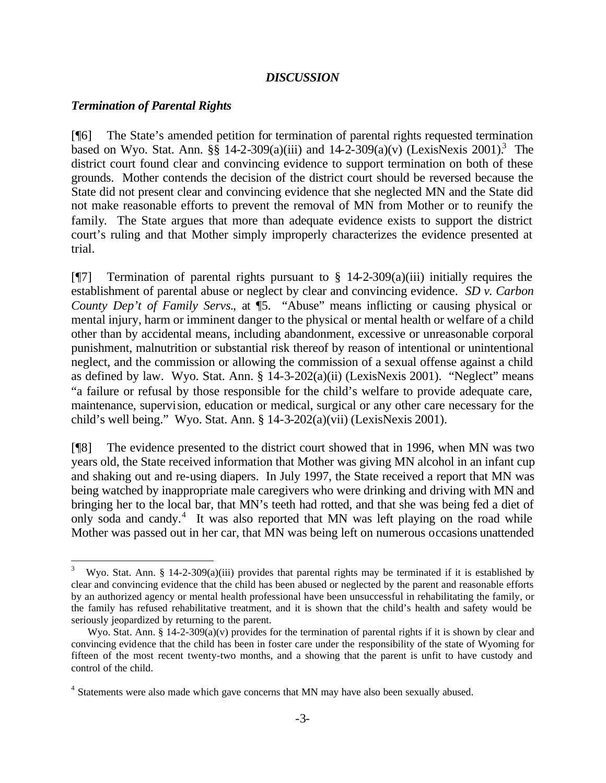### *DISCUSSION*

### *Termination of Parental Rights*

l

[¶6] The State's amended petition for termination of parental rights requested termination based on Wyo. Stat. Ann. §§ 14-2-309(a)(iii) and  $14-2-309(a)(v)$  (LexisNexis 2001).<sup>3</sup> The district court found clear and convincing evidence to support termination on both of these grounds. Mother contends the decision of the district court should be reversed because the State did not present clear and convincing evidence that she neglected MN and the State did not make reasonable efforts to prevent the removal of MN from Mother or to reunify the family. The State argues that more than adequate evidence exists to support the district court's ruling and that Mother simply improperly characterizes the evidence presented at trial.

[ $\degree$ [7] Termination of parental rights pursuant to § 14-2-309(a)(iii) initially requires the establishment of parental abuse or neglect by clear and convincing evidence. *SD v. Carbon County Dep't of Family Servs.*, at <sup>[5]</sup>. "Abuse" means inflicting or causing physical or mental injury, harm or imminent danger to the physical or mental health or welfare of a child other than by accidental means, including abandonment, excessive or unreasonable corporal punishment, malnutrition or substantial risk thereof by reason of intentional or unintentional neglect, and the commission or allowing the commission of a sexual offense against a child as defined by law. Wyo. Stat. Ann. § 14-3-202(a)(ii) (LexisNexis 2001). "Neglect" means "a failure or refusal by those responsible for the child's welfare to provide adequate care, maintenance, supervision, education or medical, surgical or any other care necessary for the child's well being." Wyo. Stat. Ann. § 14-3-202(a)(vii) (LexisNexis 2001).

[¶8] The evidence presented to the district court showed that in 1996, when MN was two years old, the State received information that Mother was giving MN alcohol in an infant cup and shaking out and re-using diapers. In July 1997, the State received a report that MN was being watched by inappropriate male caregivers who were drinking and driving with MN and bringing her to the local bar, that MN's teeth had rotted, and that she was being fed a diet of only soda and candy.<sup>4</sup> It was also reported that MN was left playing on the road while Mother was passed out in her car, that MN was being left on numerous occasions unattended

<sup>3</sup> Wyo. Stat. Ann. § 14-2-309(a)(iii) provides that parental rights may be terminated if it is established by clear and convincing evidence that the child has been abused or neglected by the parent and reasonable efforts by an authorized agency or mental health professional have been unsuccessful in rehabilitating the family, or the family has refused rehabilitative treatment, and it is shown that the child's health and safety would be seriously jeopardized by returning to the parent.

Wyo. Stat. Ann. § 14-2-309(a)(v) provides for the termination of parental rights if it is shown by clear and convincing evidence that the child has been in foster care under the responsibility of the state of Wyoming for fifteen of the most recent twenty-two months, and a showing that the parent is unfit to have custody and control of the child.

<sup>&</sup>lt;sup>4</sup> Statements were also made which gave concerns that MN may have also been sexually abused.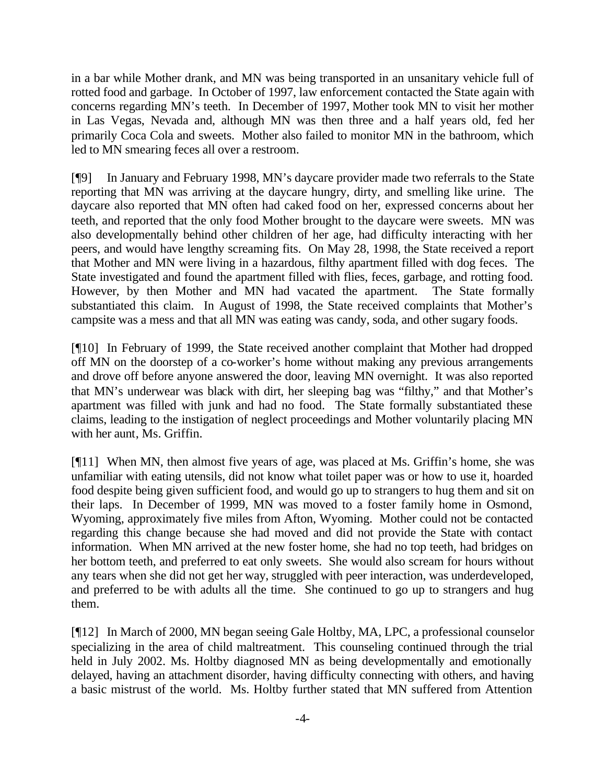in a bar while Mother drank, and MN was being transported in an unsanitary vehicle full of rotted food and garbage. In October of 1997, law enforcement contacted the State again with concerns regarding MN's teeth. In December of 1997, Mother took MN to visit her mother in Las Vegas, Nevada and, although MN was then three and a half years old, fed her primarily Coca Cola and sweets. Mother also failed to monitor MN in the bathroom, which led to MN smearing feces all over a restroom.

[¶9] In January and February 1998, MN's daycare provider made two referrals to the State reporting that MN was arriving at the daycare hungry, dirty, and smelling like urine. The daycare also reported that MN often had caked food on her, expressed concerns about her teeth, and reported that the only food Mother brought to the daycare were sweets. MN was also developmentally behind other children of her age, had difficulty interacting with her peers, and would have lengthy screaming fits. On May 28, 1998, the State received a report that Mother and MN were living in a hazardous, filthy apartment filled with dog feces. The State investigated and found the apartment filled with flies, feces, garbage, and rotting food. However, by then Mother and MN had vacated the apartment. The State formally substantiated this claim. In August of 1998, the State received complaints that Mother's campsite was a mess and that all MN was eating was candy, soda, and other sugary foods.

[¶10] In February of 1999, the State received another complaint that Mother had dropped off MN on the doorstep of a co-worker's home without making any previous arrangements and drove off before anyone answered the door, leaving MN overnight. It was also reported that MN's underwear was black with dirt, her sleeping bag was "filthy," and that Mother's apartment was filled with junk and had no food. The State formally substantiated these claims, leading to the instigation of neglect proceedings and Mother voluntarily placing MN with her aunt, Ms. Griffin.

[¶11] When MN, then almost five years of age, was placed at Ms. Griffin's home, she was unfamiliar with eating utensils, did not know what toilet paper was or how to use it, hoarded food despite being given sufficient food, and would go up to strangers to hug them and sit on their laps. In December of 1999, MN was moved to a foster family home in Osmond, Wyoming, approximately five miles from Afton, Wyoming. Mother could not be contacted regarding this change because she had moved and did not provide the State with contact information. When MN arrived at the new foster home, she had no top teeth, had bridges on her bottom teeth, and preferred to eat only sweets. She would also scream for hours without any tears when she did not get her way, struggled with peer interaction, was underdeveloped, and preferred to be with adults all the time. She continued to go up to strangers and hug them.

[¶12] In March of 2000, MN began seeing Gale Holtby, MA, LPC, a professional counselor specializing in the area of child maltreatment. This counseling continued through the trial held in July 2002. Ms. Holtby diagnosed MN as being developmentally and emotionally delayed, having an attachment disorder, having difficulty connecting with others, and having a basic mistrust of the world. Ms. Holtby further stated that MN suffered from Attention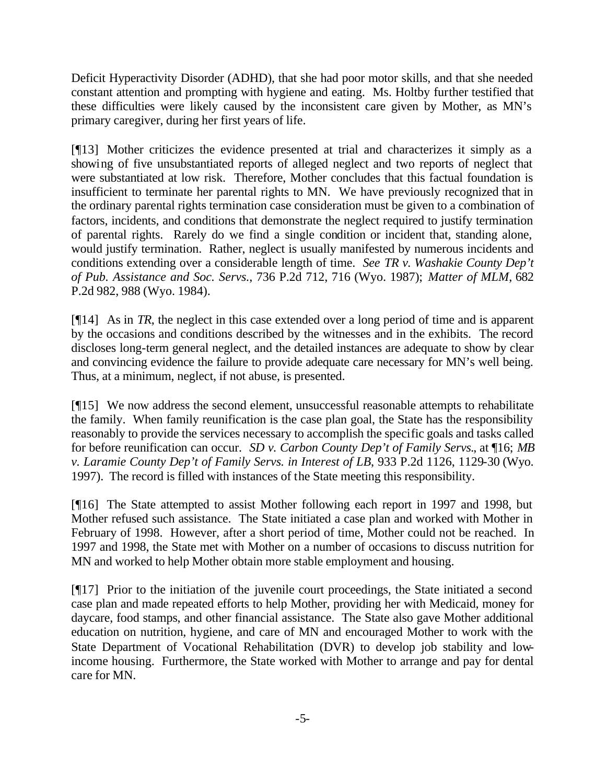Deficit Hyperactivity Disorder (ADHD), that she had poor motor skills, and that she needed constant attention and prompting with hygiene and eating. Ms. Holtby further testified that these difficulties were likely caused by the inconsistent care given by Mother, as MN's primary caregiver, during her first years of life.

[¶13] Mother criticizes the evidence presented at trial and characterizes it simply as a showing of five unsubstantiated reports of alleged neglect and two reports of neglect that were substantiated at low risk. Therefore, Mother concludes that this factual foundation is insufficient to terminate her parental rights to MN. We have previously recognized that in the ordinary parental rights termination case consideration must be given to a combination of factors, incidents, and conditions that demonstrate the neglect required to justify termination of parental rights. Rarely do we find a single condition or incident that, standing alone, would justify termination. Rather, neglect is usually manifested by numerous incidents and conditions extending over a considerable length of time. *See TR v. Washakie County Dep't of Pub. Assistance and Soc. Servs.*, 736 P.2d 712, 716 (Wyo. 1987); *Matter of MLM*, 682 P.2d 982, 988 (Wyo. 1984).

[¶14] As in *TR*, the neglect in this case extended over a long period of time and is apparent by the occasions and conditions described by the witnesses and in the exhibits. The record discloses long-term general neglect, and the detailed instances are adequate to show by clear and convincing evidence the failure to provide adequate care necessary for MN's well being. Thus, at a minimum, neglect, if not abuse, is presented.

[¶15] We now address the second element, unsuccessful reasonable attempts to rehabilitate the family. When family reunification is the case plan goal, the State has the responsibility reasonably to provide the services necessary to accomplish the specific goals and tasks called for before reunification can occur. *SD v. Carbon County Dep't of Family Servs.*, at ¶16; *MB v. Laramie County Dep't of Family Servs. in Interest of LB*, 933 P.2d 1126, 1129-30 (Wyo. 1997). The record is filled with instances of the State meeting this responsibility.

[¶16] The State attempted to assist Mother following each report in 1997 and 1998, but Mother refused such assistance. The State initiated a case plan and worked with Mother in February of 1998. However, after a short period of time, Mother could not be reached. In 1997 and 1998, the State met with Mother on a number of occasions to discuss nutrition for MN and worked to help Mother obtain more stable employment and housing.

[¶17] Prior to the initiation of the juvenile court proceedings, the State initiated a second case plan and made repeated efforts to help Mother, providing her with Medicaid, money for daycare, food stamps, and other financial assistance. The State also gave Mother additional education on nutrition, hygiene, and care of MN and encouraged Mother to work with the State Department of Vocational Rehabilitation (DVR) to develop job stability and lowincome housing. Furthermore, the State worked with Mother to arrange and pay for dental care for MN.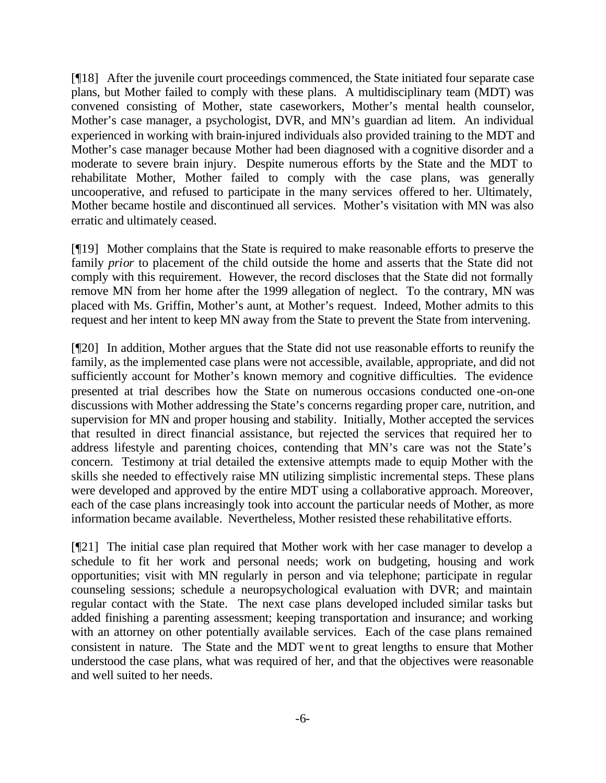[¶18] After the juvenile court proceedings commenced, the State initiated four separate case plans, but Mother failed to comply with these plans. A multidisciplinary team (MDT) was convened consisting of Mother, state caseworkers, Mother's mental health counselor, Mother's case manager, a psychologist, DVR, and MN's guardian ad litem. An individual experienced in working with brain-injured individuals also provided training to the MDT and Mother's case manager because Mother had been diagnosed with a cognitive disorder and a moderate to severe brain injury. Despite numerous efforts by the State and the MDT to rehabilitate Mother, Mother failed to comply with the case plans, was generally uncooperative, and refused to participate in the many services offered to her. Ultimately, Mother became hostile and discontinued all services. Mother's visitation with MN was also erratic and ultimately ceased.

[¶19] Mother complains that the State is required to make reasonable efforts to preserve the family *prior* to placement of the child outside the home and asserts that the State did not comply with this requirement. However, the record discloses that the State did not formally remove MN from her home after the 1999 allegation of neglect. To the contrary, MN was placed with Ms. Griffin, Mother's aunt, at Mother's request. Indeed, Mother admits to this request and her intent to keep MN away from the State to prevent the State from intervening.

[¶20] In addition, Mother argues that the State did not use reasonable efforts to reunify the family, as the implemented case plans were not accessible, available, appropriate, and did not sufficiently account for Mother's known memory and cognitive difficulties. The evidence presented at trial describes how the State on numerous occasions conducted one-on-one discussions with Mother addressing the State's concerns regarding proper care, nutrition, and supervision for MN and proper housing and stability. Initially, Mother accepted the services that resulted in direct financial assistance, but rejected the services that required her to address lifestyle and parenting choices, contending that MN's care was not the State's concern. Testimony at trial detailed the extensive attempts made to equip Mother with the skills she needed to effectively raise MN utilizing simplistic incremental steps. These plans were developed and approved by the entire MDT using a collaborative approach. Moreover, each of the case plans increasingly took into account the particular needs of Mother, as more information became available. Nevertheless, Mother resisted these rehabilitative efforts.

[¶21] The initial case plan required that Mother work with her case manager to develop a schedule to fit her work and personal needs; work on budgeting, housing and work opportunities; visit with MN regularly in person and via telephone; participate in regular counseling sessions; schedule a neuropsychological evaluation with DVR; and maintain regular contact with the State. The next case plans developed included similar tasks but added finishing a parenting assessment; keeping transportation and insurance; and working with an attorney on other potentially available services. Each of the case plans remained consistent in nature. The State and the MDT went to great lengths to ensure that Mother understood the case plans, what was required of her, and that the objectives were reasonable and well suited to her needs.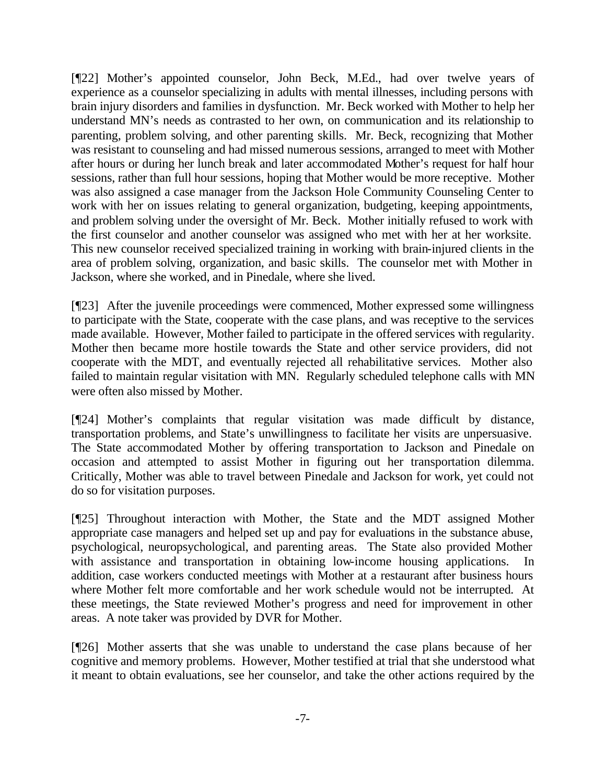[¶22] Mother's appointed counselor, John Beck, M.Ed., had over twelve years of experience as a counselor specializing in adults with mental illnesses, including persons with brain injury disorders and families in dysfunction. Mr. Beck worked with Mother to help her understand MN's needs as contrasted to her own, on communication and its relationship to parenting, problem solving, and other parenting skills. Mr. Beck, recognizing that Mother was resistant to counseling and had missed numerous sessions, arranged to meet with Mother after hours or during her lunch break and later accommodated Mother's request for half hour sessions, rather than full hour sessions, hoping that Mother would be more receptive. Mother was also assigned a case manager from the Jackson Hole Community Counseling Center to work with her on issues relating to general organization, budgeting, keeping appointments, and problem solving under the oversight of Mr. Beck. Mother initially refused to work with the first counselor and another counselor was assigned who met with her at her worksite. This new counselor received specialized training in working with brain-injured clients in the area of problem solving, organization, and basic skills. The counselor met with Mother in Jackson, where she worked, and in Pinedale, where she lived.

[¶23] After the juvenile proceedings were commenced, Mother expressed some willingness to participate with the State, cooperate with the case plans, and was receptive to the services made available. However, Mother failed to participate in the offered services with regularity. Mother then became more hostile towards the State and other service providers, did not cooperate with the MDT, and eventually rejected all rehabilitative services. Mother also failed to maintain regular visitation with MN. Regularly scheduled telephone calls with MN were often also missed by Mother.

[¶24] Mother's complaints that regular visitation was made difficult by distance, transportation problems, and State's unwillingness to facilitate her visits are unpersuasive. The State accommodated Mother by offering transportation to Jackson and Pinedale on occasion and attempted to assist Mother in figuring out her transportation dilemma. Critically, Mother was able to travel between Pinedale and Jackson for work, yet could not do so for visitation purposes.

[¶25] Throughout interaction with Mother, the State and the MDT assigned Mother appropriate case managers and helped set up and pay for evaluations in the substance abuse, psychological, neuropsychological, and parenting areas. The State also provided Mother with assistance and transportation in obtaining low-income housing applications. In addition, case workers conducted meetings with Mother at a restaurant after business hours where Mother felt more comfortable and her work schedule would not be interrupted. At these meetings, the State reviewed Mother's progress and need for improvement in other areas. A note taker was provided by DVR for Mother.

[¶26] Mother asserts that she was unable to understand the case plans because of her cognitive and memory problems. However, Mother testified at trial that she understood what it meant to obtain evaluations, see her counselor, and take the other actions required by the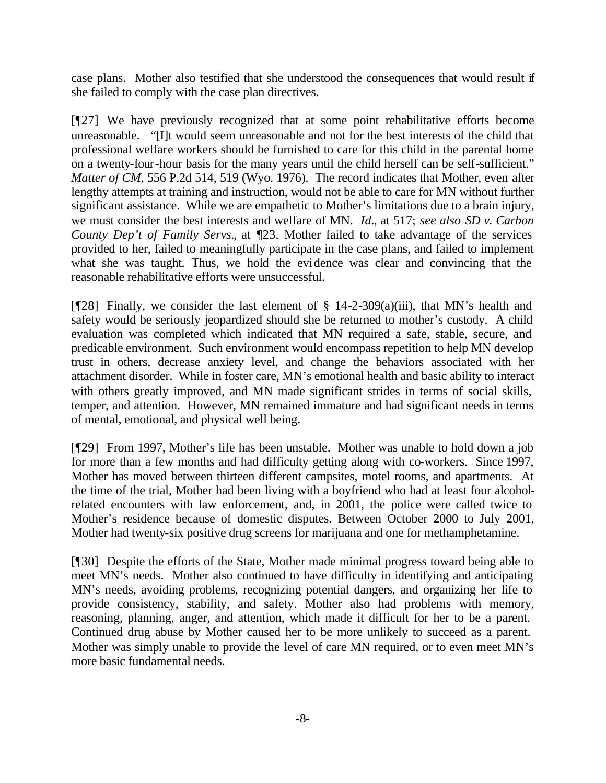case plans. Mother also testified that she understood the consequences that would result if she failed to comply with the case plan directives.

[¶27] We have previously recognized that at some point rehabilitative efforts become unreasonable. "[I]t would seem unreasonable and not for the best interests of the child that professional welfare workers should be furnished to care for this child in the parental home on a twenty-four-hour basis for the many years until the child herself can be self-sufficient." *Matter of CM*, 556 P.2d 514, 519 (Wyo. 1976). The record indicates that Mother, even after lengthy attempts at training and instruction, would not be able to care for MN without further significant assistance. While we are empathetic to Mother's limitations due to a brain injury, we must consider the best interests and welfare of MN. *Id.*, at 517; *see also SD v. Carbon County Dep't of Family Servs.*, at ¶23. Mother failed to take advantage of the services provided to her, failed to meaningfully participate in the case plans, and failed to implement what she was taught. Thus, we hold the evidence was clear and convincing that the reasonable rehabilitative efforts were unsuccessful.

[ $[$ [28] Finally, we consider the last element of § 14-2-309(a)(iii), that MN's health and safety would be seriously jeopardized should she be returned to mother's custody. A child evaluation was completed which indicated that MN required a safe, stable, secure, and predicable environment. Such environment would encompass repetition to help MN develop trust in others, decrease anxiety level, and change the behaviors associated with her attachment disorder. While in foster care, MN's emotional health and basic ability to interact with others greatly improved, and MN made significant strides in terms of social skills, temper, and attention. However, MN remained immature and had significant needs in terms of mental, emotional, and physical well being.

[¶29] From 1997, Mother's life has been unstable. Mother was unable to hold down a job for more than a few months and had difficulty getting along with co-workers. Since 1997, Mother has moved between thirteen different campsites, motel rooms, and apartments. At the time of the trial, Mother had been living with a boyfriend who had at least four alcoholrelated encounters with law enforcement, and, in 2001, the police were called twice to Mother's residence because of domestic disputes. Between October 2000 to July 2001, Mother had twenty-six positive drug screens for marijuana and one for methamphetamine.

[¶30] Despite the efforts of the State, Mother made minimal progress toward being able to meet MN's needs. Mother also continued to have difficulty in identifying and anticipating MN's needs, avoiding problems, recognizing potential dangers, and organizing her life to provide consistency, stability, and safety. Mother also had problems with memory, reasoning, planning, anger, and attention, which made it difficult for her to be a parent. Continued drug abuse by Mother caused her to be more unlikely to succeed as a parent. Mother was simply unable to provide the level of care MN required, or to even meet MN's more basic fundamental needs.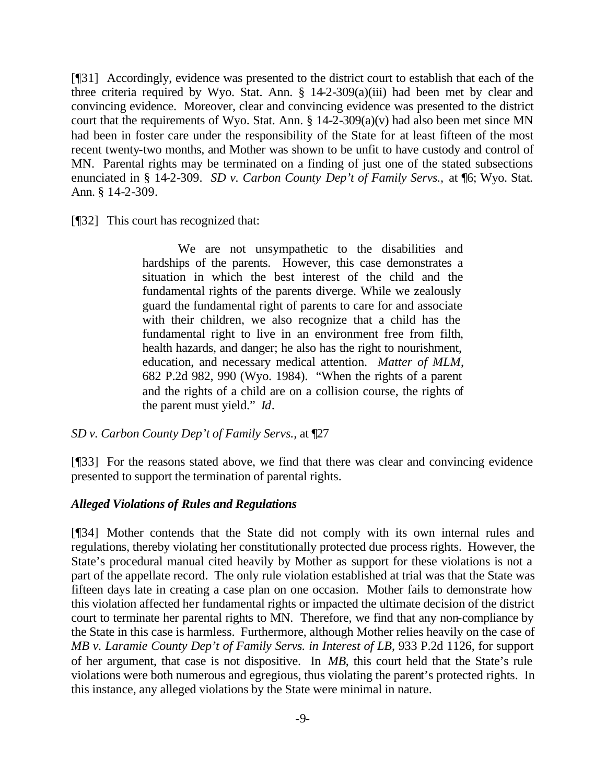[¶31] Accordingly, evidence was presented to the district court to establish that each of the three criteria required by Wyo. Stat. Ann. § 14-2-309(a)(iii) had been met by clear and convincing evidence. Moreover, clear and convincing evidence was presented to the district court that the requirements of Wyo. Stat. Ann.  $\S$  14-2-309(a)(v) had also been met since MN had been in foster care under the responsibility of the State for at least fifteen of the most recent twenty-two months, and Mother was shown to be unfit to have custody and control of MN. Parental rights may be terminated on a finding of just one of the stated subsections enunciated in § 14-2-309. *SD v. Carbon County Dep't of Family Servs.,* at ¶6; Wyo. Stat. Ann. § 14-2-309.

[¶32] This court has recognized that:

We are not unsympathetic to the disabilities and hardships of the parents. However, this case demonstrates a situation in which the best interest of the child and the fundamental rights of the parents diverge. While we zealously guard the fundamental right of parents to care for and associate with their children, we also recognize that a child has the fundamental right to live in an environment free from filth, health hazards, and danger; he also has the right to nourishment, education, and necessary medical attention. *Matter of MLM*, 682 P.2d 982, 990 (Wyo. 1984). "When the rights of a parent and the rights of a child are on a collision course, the rights of the parent must yield." *Id*.

*SD v. Carbon County Dep't of Family Servs.,* at ¶27

[¶33] For the reasons stated above, we find that there was clear and convincing evidence presented to support the termination of parental rights.

### *Alleged Violations of Rules and Regulations*

[¶34] Mother contends that the State did not comply with its own internal rules and regulations, thereby violating her constitutionally protected due process rights. However, the State's procedural manual cited heavily by Mother as support for these violations is not a part of the appellate record. The only rule violation established at trial was that the State was fifteen days late in creating a case plan on one occasion. Mother fails to demonstrate how this violation affected her fundamental rights or impacted the ultimate decision of the district court to terminate her parental rights to MN. Therefore, we find that any non-compliance by the State in this case is harmless. Furthermore, although Mother relies heavily on the case of *MB v. Laramie County Dep't of Family Servs. in Interest of LB*, 933 P.2d 1126, for support of her argument, that case is not dispositive. In *MB*, this court held that the State's rule violations were both numerous and egregious, thus violating the parent's protected rights. In this instance, any alleged violations by the State were minimal in nature.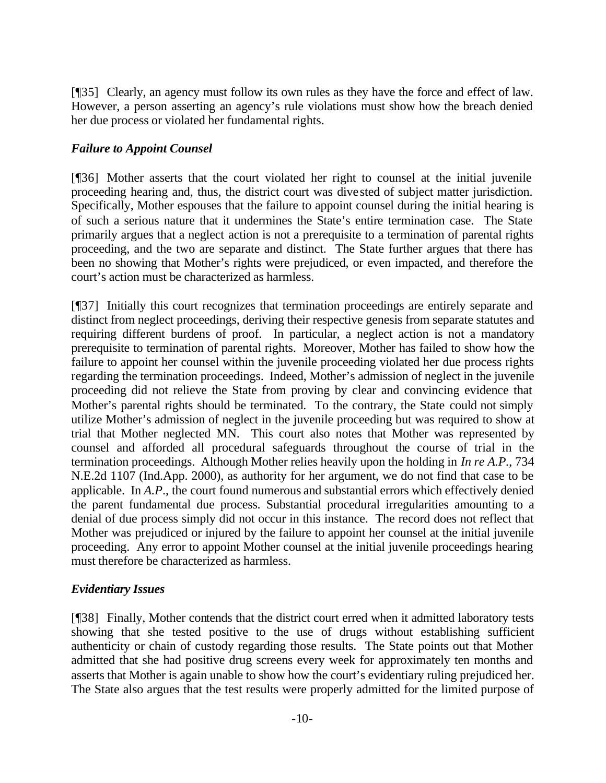[¶35] Clearly, an agency must follow its own rules as they have the force and effect of law. However, a person asserting an agency's rule violations must show how the breach denied her due process or violated her fundamental rights.

# *Failure to Appoint Counsel*

[¶36] Mother asserts that the court violated her right to counsel at the initial juvenile proceeding hearing and, thus, the district court was divested of subject matter jurisdiction. Specifically, Mother espouses that the failure to appoint counsel during the initial hearing is of such a serious nature that it undermines the State's entire termination case. The State primarily argues that a neglect action is not a prerequisite to a termination of parental rights proceeding, and the two are separate and distinct. The State further argues that there has been no showing that Mother's rights were prejudiced, or even impacted, and therefore the court's action must be characterized as harmless.

[¶37] Initially this court recognizes that termination proceedings are entirely separate and distinct from neglect proceedings, deriving their respective genesis from separate statutes and requiring different burdens of proof. In particular, a neglect action is not a mandatory prerequisite to termination of parental rights. Moreover, Mother has failed to show how the failure to appoint her counsel within the juvenile proceeding violated her due process rights regarding the termination proceedings. Indeed, Mother's admission of neglect in the juvenile proceeding did not relieve the State from proving by clear and convincing evidence that Mother's parental rights should be terminated. To the contrary, the State could not simply utilize Mother's admission of neglect in the juvenile proceeding but was required to show at trial that Mother neglected MN. This court also notes that Mother was represented by counsel and afforded all procedural safeguards throughout the course of trial in the termination proceedings. Although Mother relies heavily upon the holding in *In re A.P.*, 734 N.E.2d 1107 (Ind.App. 2000), as authority for her argument, we do not find that case to be applicable. In *A.P*., the court found numerous and substantial errors which effectively denied the parent fundamental due process. Substantial procedural irregularities amounting to a denial of due process simply did not occur in this instance. The record does not reflect that Mother was prejudiced or injured by the failure to appoint her counsel at the initial juvenile proceeding. Any error to appoint Mother counsel at the initial juvenile proceedings hearing must therefore be characterized as harmless.

### *Evidentiary Issues*

[¶38] Finally, Mother contends that the district court erred when it admitted laboratory tests showing that she tested positive to the use of drugs without establishing sufficient authenticity or chain of custody regarding those results. The State points out that Mother admitted that she had positive drug screens every week for approximately ten months and asserts that Mother is again unable to show how the court's evidentiary ruling prejudiced her. The State also argues that the test results were properly admitted for the limited purpose of